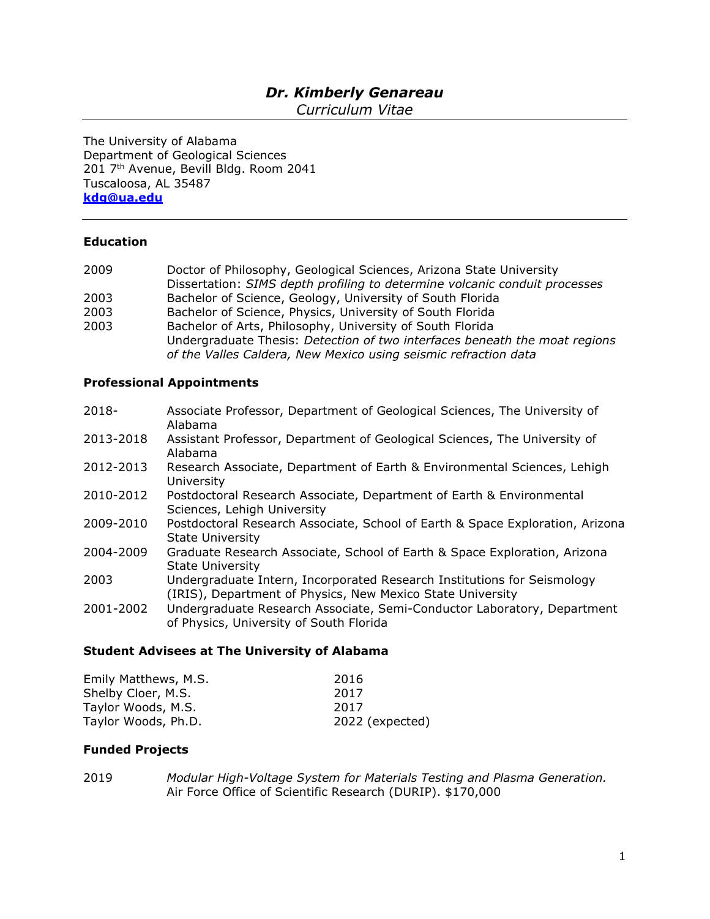# *Dr. Kimberly Genareau*

*Curriculum Vitae*

The University of Alabama Department of Geological Sciences 201 7<sup>th</sup> Avenue, Bevill Bldg. Room 2041 Tuscaloosa, AL 35487 **[kdg@ua.edu](mailto:kdg@ua.edu)**

## **Education**

| 2009 | Doctor of Philosophy, Geological Sciences, Arizona State University                                                                     |
|------|-----------------------------------------------------------------------------------------------------------------------------------------|
|      | Dissertation: SIMS depth profiling to determine volcanic conduit processes                                                              |
| 2003 | Bachelor of Science, Geology, University of South Florida                                                                               |
| 2003 | Bachelor of Science, Physics, University of South Florida                                                                               |
| 2003 | Bachelor of Arts, Philosophy, University of South Florida<br>Undergraduate Thesis: Detection of two interfaces beneath the moat regions |
|      | of the Valles Caldera, New Mexico using seismic refraction data                                                                         |

## **Professional Appointments**

| 2013-2018<br>Assistant Professor, Department of Geological Sciences, The University of<br>Alabama<br>2012-2013<br>Research Associate, Department of Earth & Environmental Sciences, Lehigh<br>University<br>2010-2012<br>Postdoctoral Research Associate, Department of Earth & Environmental<br>Sciences, Lehigh University<br>2009-2010<br><b>State University</b><br>2004-2009<br>Graduate Research Associate, School of Earth & Space Exploration, Arizona<br><b>State University</b><br>2003<br>Undergraduate Intern, Incorporated Research Institutions for Seismology<br>(IRIS), Department of Physics, New Mexico State University<br>Undergraduate Research Associate, Semi-Conductor Laboratory, Department<br>2001-2002<br>of Physics, University of South Florida | $2018 -$ | Associate Professor, Department of Geological Sciences, The University of<br>Alabama |
|-------------------------------------------------------------------------------------------------------------------------------------------------------------------------------------------------------------------------------------------------------------------------------------------------------------------------------------------------------------------------------------------------------------------------------------------------------------------------------------------------------------------------------------------------------------------------------------------------------------------------------------------------------------------------------------------------------------------------------------------------------------------------------|----------|--------------------------------------------------------------------------------------|
|                                                                                                                                                                                                                                                                                                                                                                                                                                                                                                                                                                                                                                                                                                                                                                               |          |                                                                                      |
|                                                                                                                                                                                                                                                                                                                                                                                                                                                                                                                                                                                                                                                                                                                                                                               |          |                                                                                      |
|                                                                                                                                                                                                                                                                                                                                                                                                                                                                                                                                                                                                                                                                                                                                                                               |          |                                                                                      |
|                                                                                                                                                                                                                                                                                                                                                                                                                                                                                                                                                                                                                                                                                                                                                                               |          | Postdoctoral Research Associate, School of Earth & Space Exploration, Arizona        |
|                                                                                                                                                                                                                                                                                                                                                                                                                                                                                                                                                                                                                                                                                                                                                                               |          |                                                                                      |
|                                                                                                                                                                                                                                                                                                                                                                                                                                                                                                                                                                                                                                                                                                                                                                               |          |                                                                                      |
|                                                                                                                                                                                                                                                                                                                                                                                                                                                                                                                                                                                                                                                                                                                                                                               |          |                                                                                      |

# **Student Advisees at The University of Alabama**

| Emily Matthews, M.S. | 2016            |
|----------------------|-----------------|
| Shelby Cloer, M.S.   | 2017            |
| Taylor Woods, M.S.   | 2017            |
| Taylor Woods, Ph.D.  | 2022 (expected) |

## **Funded Projects**

2019 *Modular High-Voltage System for Materials Testing and Plasma Generation.* Air Force Office of Scientific Research (DURIP). \$170,000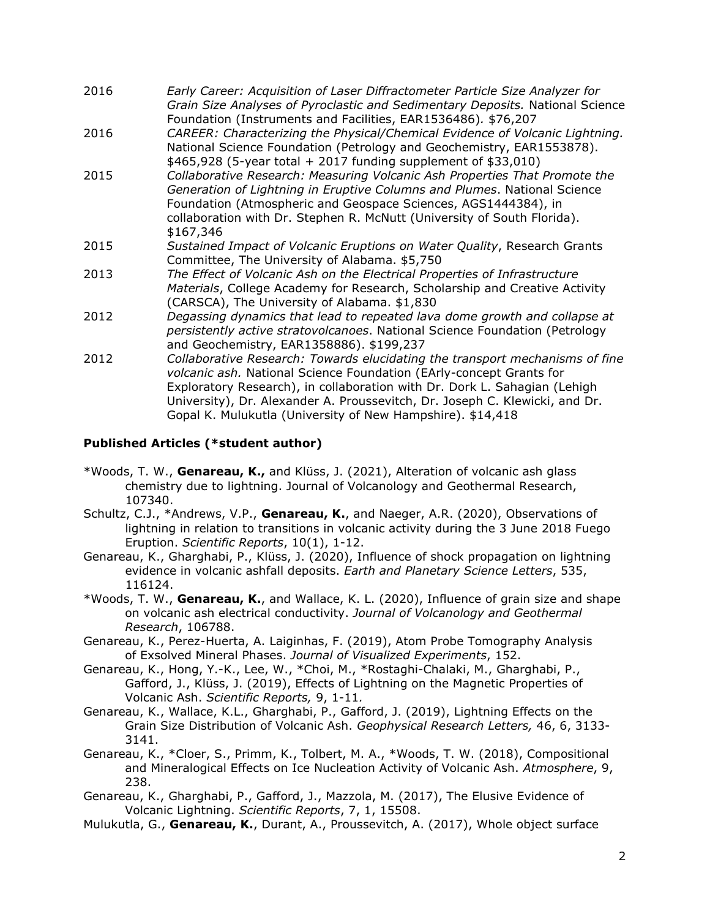| 2016 | Early Career: Acquisition of Laser Diffractometer Particle Size Analyzer for<br>Grain Size Analyses of Pyroclastic and Sedimentary Deposits. National Science |
|------|---------------------------------------------------------------------------------------------------------------------------------------------------------------|
|      | Foundation (Instruments and Facilities, EAR1536486). \$76,207                                                                                                 |
| 2016 | CAREER: Characterizing the Physical/Chemical Evidence of Volcanic Lightning.<br>National Science Foundation (Petrology and Geochemistry, EAR1553878).         |
|      | $$465,928$ (5-year total + 2017 funding supplement of \$33,010)                                                                                               |
| 2015 | Collaborative Research: Measuring Volcanic Ash Properties That Promote the                                                                                    |
|      | Generation of Lightning in Eruptive Columns and Plumes. National Science                                                                                      |
|      | Foundation (Atmospheric and Geospace Sciences, AGS1444384), in                                                                                                |
|      | collaboration with Dr. Stephen R. McNutt (University of South Florida).                                                                                       |
|      | \$167,346                                                                                                                                                     |
| 2015 | Sustained Impact of Volcanic Eruptions on Water Quality, Research Grants                                                                                      |
|      | Committee, The University of Alabama. \$5,750                                                                                                                 |
| 2013 | The Effect of Volcanic Ash on the Electrical Properties of Infrastructure                                                                                     |
|      | Materials, College Academy for Research, Scholarship and Creative Activity<br>(CARSCA), The University of Alabama. \$1,830                                    |
| 2012 | Degassing dynamics that lead to repeated lava dome growth and collapse at                                                                                     |
|      | persistently active stratovolcanoes. National Science Foundation (Petrology                                                                                   |
|      | and Geochemistry, EAR1358886). \$199,237                                                                                                                      |
| 2012 | Collaborative Research: Towards elucidating the transport mechanisms of fine<br>volcanic ash. National Science Foundation (EArly-concept Grants for           |
|      | Exploratory Research), in collaboration with Dr. Dork L. Sahagian (Lehigh<br>University), Dr. Alexander A. Proussevitch, Dr. Joseph C. Klewicki, and Dr.      |
|      | Gopal K. Mulukutla (University of New Hampshire). \$14,418                                                                                                    |

## **Published Articles (\*student author)**

- \*Woods, T. W., **Genareau, K.,** and Klüss, J. (2021), Alteration of volcanic ash glass chemistry due to lightning. Journal of Volcanology and Geothermal Research, 107340.
- Schultz, C.J., \*Andrews, V.P., **Genareau, K.**, and Naeger, A.R. (2020), Observations of lightning in relation to transitions in volcanic activity during the 3 June 2018 Fuego Eruption. *Scientific Reports*, 10(1), 1-12.
- Genareau, K., Gharghabi, P., Klüss, J. (2020), Influence of shock propagation on lightning evidence in volcanic ashfall deposits. *Earth and Planetary Science Letters*, 535, 116124.
- \*Woods, T. W., **Genareau, K.**, and Wallace, K. L. (2020), Influence of grain size and shape on volcanic ash electrical conductivity. *Journal of Volcanology and Geothermal Research*, 106788.
- Genareau, K., Perez-Huerta, A. Laiginhas, F. (2019), Atom Probe Tomography Analysis of Exsolved Mineral Phases. *Journal of Visualized Experiments*, 152.
- Genareau, K., Hong, Y.-K., Lee, W., \*Choi, M., \*Rostaghi-Chalaki, M., Gharghabi, P., Gafford, J., Klüss, J. (2019), Effects of Lightning on the Magnetic Properties of Volcanic Ash. *Scientific Reports,* 9, 1-11*.*
- Genareau, K., Wallace, K.L., Gharghabi, P., Gafford, J. (2019), Lightning Effects on the Grain Size Distribution of Volcanic Ash. *Geophysical Research Letters,* 46, 6, 3133- 3141.
- Genareau, K., \*Cloer, S., Primm, K., Tolbert, M. A., \*Woods, T. W. (2018), Compositional and Mineralogical Effects on Ice Nucleation Activity of Volcanic Ash. *Atmosphere*, 9, 238.
- Genareau, K., Gharghabi, P., Gafford, J., Mazzola, M. (2017), The Elusive Evidence of Volcanic Lightning. *Scientific Reports*, 7, 1, 15508.
- Mulukutla, G., **Genareau, K.**, Durant, A., Proussevitch, A. (2017), Whole object surface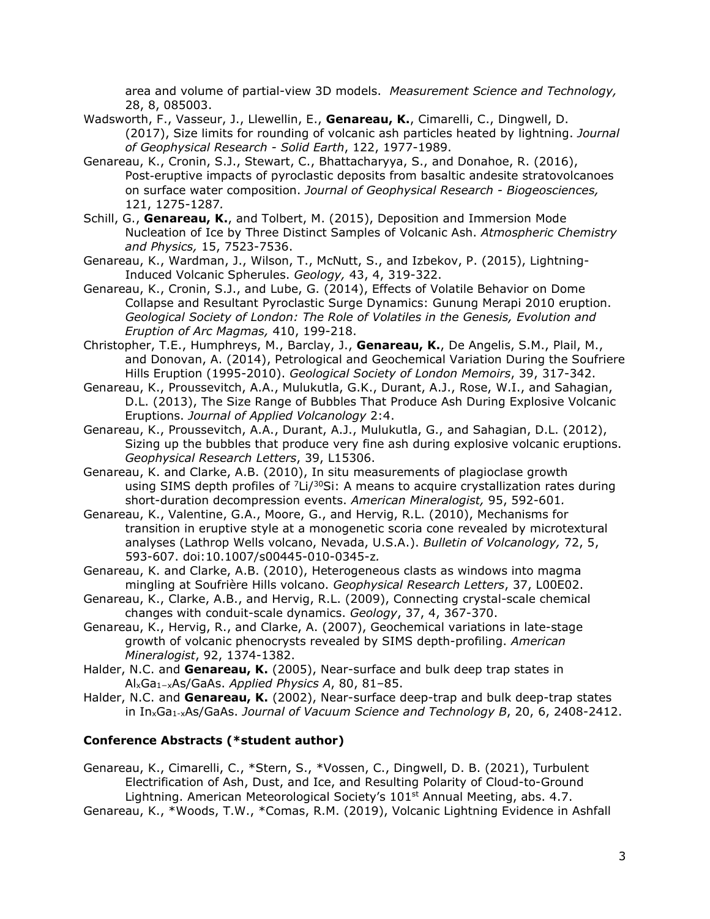area and volume of partial-view 3D models. *Measurement Science and Technology,* 28, 8, 085003.

- Wadsworth, F., Vasseur, J., Llewellin, E., **Genareau, K.**, Cimarelli, C., Dingwell, D. (2017), Size limits for rounding of volcanic ash particles heated by lightning. *Journal of Geophysical Research - Solid Earth*, 122, 1977-1989.
- Genareau, K., Cronin, S.J., Stewart, C., Bhattacharyya, S., and Donahoe, R. (2016), Post-eruptive impacts of pyroclastic deposits from basaltic andesite stratovolcanoes on surface water composition. *Journal of Geophysical Research - Biogeosciences,*  121, 1275-1287*.*
- Schill, G., **Genareau, K.**, and Tolbert, M. (2015), Deposition and Immersion Mode Nucleation of Ice by Three Distinct Samples of Volcanic Ash. *Atmospheric Chemistry and Physics,* 15, 7523-7536.
- Genareau, K., Wardman, J., Wilson, T., McNutt, S., and Izbekov, P. (2015), Lightning-Induced Volcanic Spherules. *Geology,* 43, 4, 319-322.
- Genareau, K., Cronin, S.J., and Lube, G. (2014), Effects of Volatile Behavior on Dome Collapse and Resultant Pyroclastic Surge Dynamics: Gunung Merapi 2010 eruption. *Geological Society of London: The Role of Volatiles in the Genesis, Evolution and Eruption of Arc Magmas,* 410, 199-218.
- Christopher, T.E., Humphreys, M., Barclay, J., **Genareau, K.**, De Angelis, S.M., Plail, M., and Donovan, A. (2014), Petrological and Geochemical Variation During the Soufriere Hills Eruption (1995-2010). *Geological Society of London Memoirs*, 39, 317-342.
- Genareau, K., Proussevitch, A.A., Mulukutla, G.K., Durant, A.J., Rose, W.I., and Sahagian, D.L. (2013), The Size Range of Bubbles That Produce Ash During Explosive Volcanic Eruptions. *Journal of Applied Volcanology* 2:4.
- Genareau, K., Proussevitch, A.A., Durant, A.J., Mulukutla, G., and Sahagian, D.L. (2012), Sizing up the bubbles that produce very fine ash during explosive volcanic eruptions. *Geophysical Research Letters*, 39, L15306.
- Genareau, K. and Clarke, A.B. (2010), In situ measurements of plagioclase growth using SIMS depth profiles of  $7Li/30Si$ : A means to acquire crystallization rates during short-duration decompression events. *American Mineralogist,* 95, 592-601*.*
- Genareau, K., Valentine, G.A., Moore, G., and Hervig, R.L. (2010), Mechanisms for transition in eruptive style at a monogenetic scoria cone revealed by microtextural analyses (Lathrop Wells volcano, Nevada, U.S.A.). *Bulletin of Volcanology,* 72, 5, 593-607. doi:10.1007/s00445-010-0345-z*.*
- Genareau, K. and Clarke, A.B. (2010), Heterogeneous clasts as windows into magma mingling at Soufrière Hills volcano. *Geophysical Research Letters*, 37, L00E02.
- Genareau, K., Clarke, A.B., and Hervig, R.L. (2009), Connecting crystal-scale chemical changes with conduit-scale dynamics. *Geology*, 37, 4, 367-370.
- Genareau, K., Hervig, R., and Clarke, A. (2007), Geochemical variations in late-stage growth of volcanic phenocrysts revealed by SIMS depth-profiling. *American Mineralogist*, 92, 1374-1382.
- Halder, N.C. and **Genareau, K.** (2005), Near-surface and bulk deep trap states in AlxGa1−xAs/GaAs. *Applied Physics A*, 80, 81–85.
- Halder, N.C. and **Genareau, K.** (2002), Near-surface deep-trap and bulk deep-trap states in InxGa1-xAs/GaAs. *Journal of Vacuum Science and Technology B*, 20, 6, 2408-2412.

## **Conference Abstracts (\*student author)**

- Genareau, K., Cimarelli, C., \*Stern, S., \*Vossen, C., Dingwell, D. B. (2021), Turbulent Electrification of Ash, Dust, and Ice, and Resulting Polarity of Cloud-to-Ground Lightning. American Meteorological Society's  $101<sup>st</sup>$  Annual Meeting, abs. 4.7.
- Genareau, K., \*Woods, T.W., \*Comas, R.M. (2019), Volcanic Lightning Evidence in Ashfall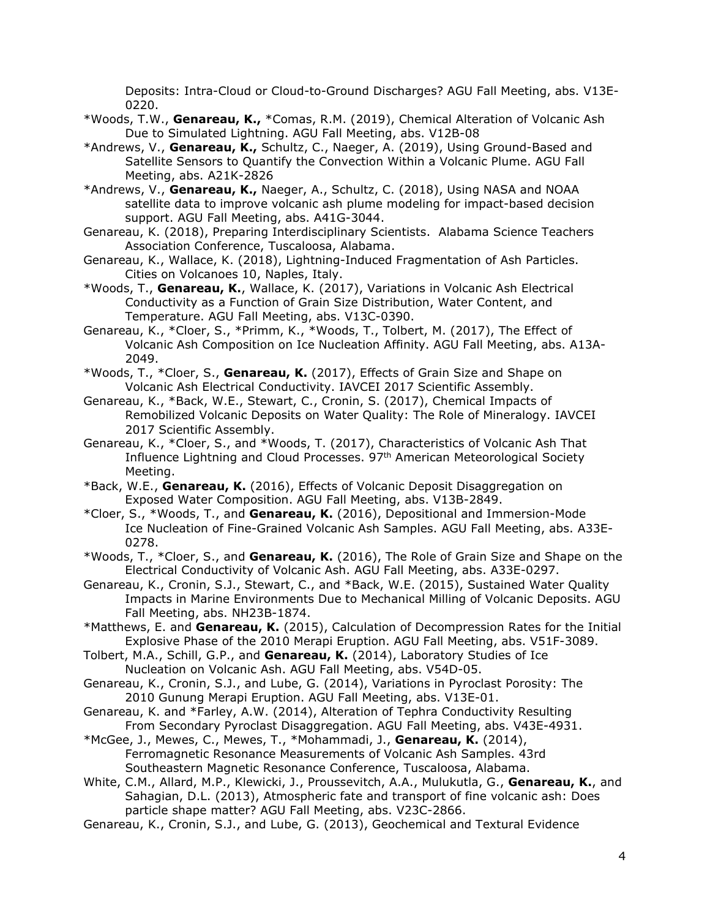Deposits: Intra-Cloud or Cloud-to-Ground Discharges? AGU Fall Meeting, abs. V13E-0220.

- \*Woods, T.W., **Genareau, K.,** \*Comas, R.M. (2019), Chemical Alteration of Volcanic Ash Due to Simulated Lightning. AGU Fall Meeting, abs. V12B-08
- \*Andrews, V., **Genareau, K.,** Schultz, C., Naeger, A. (2019), Using Ground-Based and Satellite Sensors to Quantify the Convection Within a Volcanic Plume. AGU Fall Meeting, abs. A21K-2826
- \*Andrews, V., **Genareau, K.,** Naeger, A., Schultz, C. (2018), Using NASA and NOAA satellite data to improve volcanic ash plume modeling for impact-based decision support. AGU Fall Meeting, abs. A41G-3044.
- Genareau, K. (2018), Preparing Interdisciplinary Scientists. Alabama Science Teachers Association Conference, Tuscaloosa, Alabama.
- Genareau, K., Wallace, K. (2018), Lightning-Induced Fragmentation of Ash Particles. Cities on Volcanoes 10, Naples, Italy.
- \*Woods, T., **Genareau, K.**, Wallace, K. (2017), Variations in Volcanic Ash Electrical Conductivity as a Function of Grain Size Distribution, Water Content, and Temperature. AGU Fall Meeting, abs. V13C-0390.
- Genareau, K., \*Cloer, S., \*Primm, K., \*Woods, T., Tolbert, M. (2017), The Effect of Volcanic Ash Composition on Ice Nucleation Affinity. AGU Fall Meeting, abs. A13A-2049.
- \*Woods, T., \*Cloer, S., **Genareau, K.** (2017), Effects of Grain Size and Shape on Volcanic Ash Electrical Conductivity. IAVCEI 2017 Scientific Assembly.
- Genareau, K., \*Back, W.E., Stewart, C., Cronin, S. (2017), Chemical Impacts of Remobilized Volcanic Deposits on Water Quality: The Role of Mineralogy. IAVCEI 2017 Scientific Assembly.
- Genareau, K., \*Cloer, S., and \*Woods, T. (2017), Characteristics of Volcanic Ash That Influence Lightning and Cloud Processes. 97<sup>th</sup> American Meteorological Society Meeting.
- \*Back, W.E., **Genareau, K.** (2016), Effects of Volcanic Deposit Disaggregation on Exposed Water Composition. AGU Fall Meeting, abs. V13B-2849.
- \*Cloer, S., \*Woods, T., and **Genareau, K.** (2016), Depositional and Immersion-Mode Ice Nucleation of Fine-Grained Volcanic Ash Samples. AGU Fall Meeting, abs. A33E-0278.
- \*Woods, T., \*Cloer, S., and **Genareau, K.** (2016), The Role of Grain Size and Shape on the Electrical Conductivity of Volcanic Ash. AGU Fall Meeting, abs. A33E-0297.
- Genareau, K., Cronin, S.J., Stewart, C., and \*Back, W.E. (2015), Sustained Water Quality Impacts in Marine Environments Due to Mechanical Milling of Volcanic Deposits. AGU Fall Meeting, abs. NH23B-1874.
- \*Matthews, E. and **Genareau, K.** (2015), Calculation of Decompression Rates for the Initial Explosive Phase of the 2010 Merapi Eruption. AGU Fall Meeting, abs. V51F-3089.
- Tolbert, M.A., Schill, G.P., and **Genareau, K.** (2014), Laboratory Studies of Ice Nucleation on Volcanic Ash. AGU Fall Meeting, abs. V54D-05.
- Genareau, K., Cronin, S.J., and Lube, G. (2014), Variations in Pyroclast Porosity: The 2010 Gunung Merapi Eruption. AGU Fall Meeting, abs. V13E-01.
- Genareau, K. and \*Farley, A.W. (2014), Alteration of Tephra Conductivity Resulting From Secondary Pyroclast Disaggregation. AGU Fall Meeting, abs. V43E-4931.
- \*McGee, J., Mewes, C., Mewes, T., \*Mohammadi, J., **Genareau, K.** (2014), Ferromagnetic Resonance Measurements of Volcanic Ash Samples. 43rd Southeastern Magnetic Resonance Conference, Tuscaloosa, Alabama.
- White, C.M., Allard, M.P., Klewicki, J., Proussevitch, A.A., Mulukutla, G., **Genareau, K.**, and Sahagian, D.L. (2013), Atmospheric fate and transport of fine volcanic ash: Does particle shape matter? AGU Fall Meeting, abs. V23C-2866.
- Genareau, K., Cronin, S.J., and Lube, G. (2013), Geochemical and Textural Evidence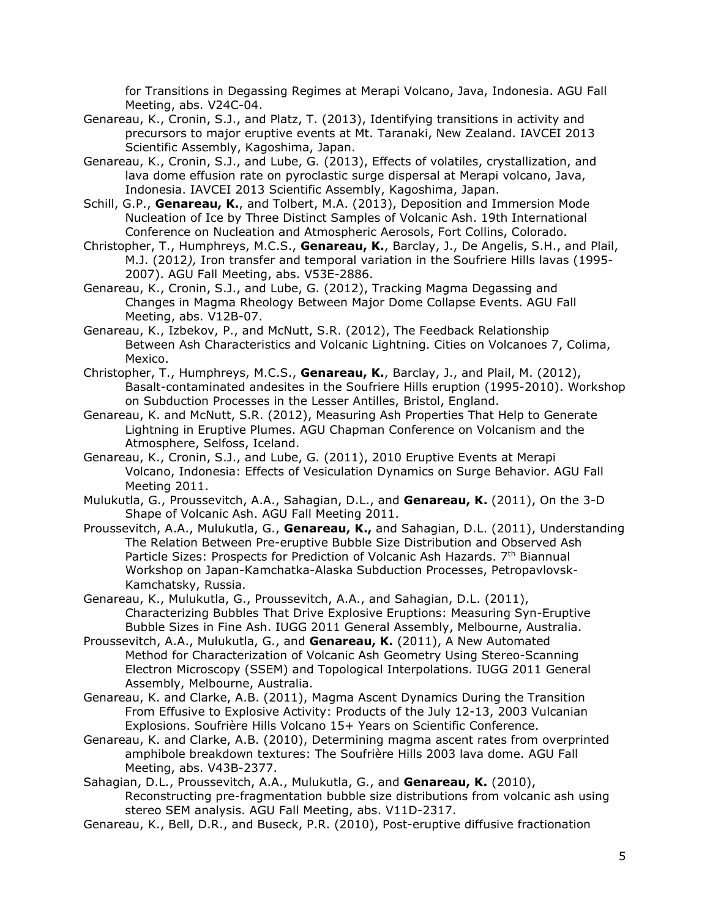for Transitions in Degassing Regimes at Merapi Volcano, Java, Indonesia. AGU Fall Meeting, abs. V24C-04.

- Genareau, K., Cronin, S.J., and Platz, T. (2013), Identifying transitions in activity and precursors to major eruptive events at Mt. Taranaki, New Zealand. IAVCEI 2013 Scientific Assembly, Kagoshima, Japan.
- Genareau, K., Cronin, S.J., and Lube, G. (2013), Effects of volatiles, crystallization, and lava dome effusion rate on pyroclastic surge dispersal at Merapi volcano, Java, Indonesia. IAVCEI 2013 Scientific Assembly, Kagoshima, Japan.
- Schill, G.P., **Genareau, K.**, and Tolbert, M.A. (2013), Deposition and Immersion Mode Nucleation of Ice by Three Distinct Samples of Volcanic Ash. 19th International Conference on Nucleation and Atmospheric Aerosols, Fort Collins, Colorado.
- Christopher, T., Humphreys, M.C.S., **Genareau, K.**, Barclay, J., De Angelis, S.H., and Plail, M.J. (2012*),* Iron transfer and temporal variation in the Soufriere Hills lavas (1995- 2007). AGU Fall Meeting, abs. V53E-2886.
- Genareau, K., Cronin, S.J., and Lube, G. (2012), Tracking Magma Degassing and Changes in Magma Rheology Between Major Dome Collapse Events. AGU Fall Meeting, abs. V12B-07.
- Genareau, K., Izbekov, P., and McNutt, S.R. (2012), The Feedback Relationship Between Ash Characteristics and Volcanic Lightning. Cities on Volcanoes 7, Colima, Mexico.
- Christopher, T., Humphreys, M.C.S., **Genareau, K.**, Barclay, J., and Plail, M. (2012), Basalt-contaminated andesites in the Soufriere Hills eruption (1995-2010). Workshop on Subduction Processes in the Lesser Antilles, Bristol, England.
- Genareau, K. and McNutt, S.R. (2012), Measuring Ash Properties That Help to Generate Lightning in Eruptive Plumes. AGU Chapman Conference on Volcanism and the Atmosphere, Selfoss, Iceland.
- Genareau, K., Cronin, S.J., and Lube, G. (2011), 2010 Eruptive Events at Merapi Volcano, Indonesia: Effects of Vesiculation Dynamics on Surge Behavior. AGU Fall Meeting 2011.
- Mulukutla, G., Proussevitch, A.A., Sahagian, D.L., and **Genareau, K.** (2011), On the 3-D Shape of Volcanic Ash. AGU Fall Meeting 2011.
- Proussevitch, A.A., Mulukutla, G., **Genareau, K.,** and Sahagian, D.L. (2011), Understanding The Relation Between Pre-eruptive Bubble Size Distribution and Observed Ash Particle Sizes: Prospects for Prediction of Volcanic Ash Hazards. 7<sup>th</sup> Biannual Workshop on Japan-Kamchatka-Alaska Subduction Processes, Petropavlovsk-Kamchatsky, Russia.
- Genareau, K., Mulukutla, G., Proussevitch, A.A., and Sahagian, D.L. (2011), Characterizing Bubbles That Drive Explosive Eruptions: Measuring Syn-Eruptive Bubble Sizes in Fine Ash. IUGG 2011 General Assembly, Melbourne, Australia.
- Proussevitch, A.A., Mulukutla, G., and **Genareau, K.** (2011), A New Automated Method for Characterization of Volcanic Ash Geometry Using Stereo-Scanning Electron Microscopy (SSEM) and Topological Interpolations. IUGG 2011 General Assembly, Melbourne, Australia.
- Genareau, K. and Clarke, A.B. (2011), Magma Ascent Dynamics During the Transition From Effusive to Explosive Activity: Products of the July 12-13, 2003 Vulcanian Explosions. Soufrière Hills Volcano 15+ Years on Scientific Conference.
- Genareau, K. and Clarke, A.B. (2010), Determining magma ascent rates from overprinted amphibole breakdown textures: The Soufrière Hills 2003 lava dome. AGU Fall Meeting, abs. V43B-2377.
- Sahagian, D.L., Proussevitch, A.A., Mulukutla, G., and **Genareau, K.** (2010), Reconstructing pre-fragmentation bubble size distributions from volcanic ash using stereo SEM analysis. AGU Fall Meeting, abs. V11D-2317.
- Genareau, K., Bell, D.R., and Buseck, P.R. (2010), Post-eruptive diffusive fractionation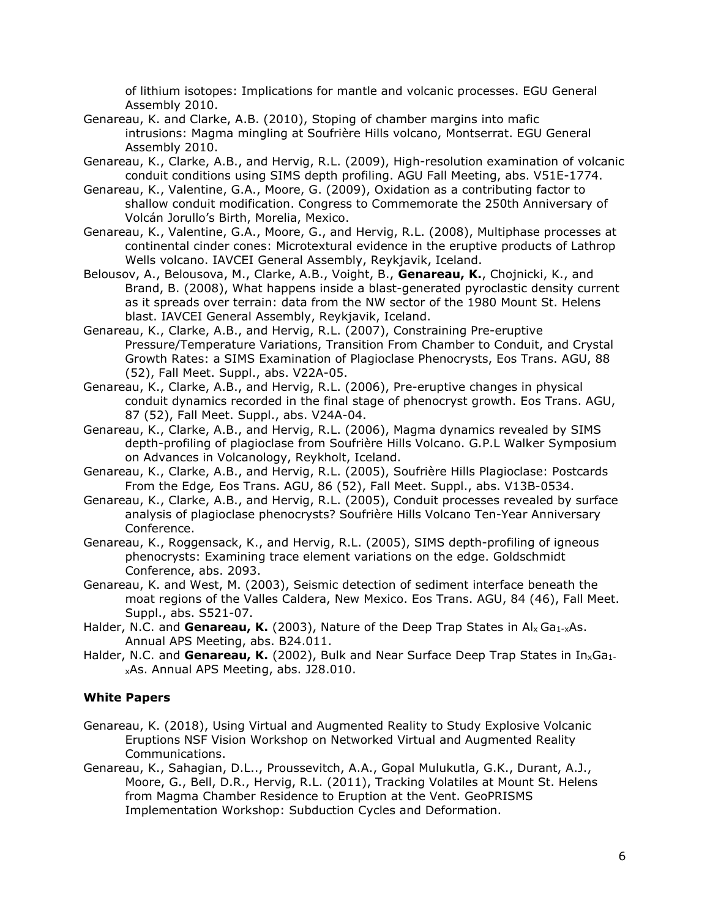of lithium isotopes: Implications for mantle and volcanic processes. EGU General Assembly 2010.

- Genareau, K. and Clarke, A.B. (2010), Stoping of chamber margins into mafic intrusions: Magma mingling at Soufrière Hills volcano, Montserrat. EGU General Assembly 2010.
- Genareau, K., Clarke, A.B., and Hervig, R.L. (2009), High-resolution examination of volcanic conduit conditions using SIMS depth profiling. AGU Fall Meeting, abs. V51E-1774.
- Genareau, K., Valentine, G.A., Moore, G. (2009), Oxidation as a contributing factor to shallow conduit modification. Congress to Commemorate the 250th Anniversary of Volcán Jorullo's Birth, Morelia, Mexico.
- Genareau, K., Valentine, G.A., Moore, G., and Hervig, R.L. (2008), Multiphase processes at continental cinder cones: Microtextural evidence in the eruptive products of Lathrop Wells volcano. IAVCEI General Assembly, Reykjavik, Iceland.
- Belousov, A., Belousova, M., Clarke, A.B., Voight, B., **Genareau, K.**, Chojnicki, K., and Brand, B. (2008), What happens inside a blast-generated pyroclastic density current as it spreads over terrain: data from the NW sector of the 1980 Mount St. Helens blast. IAVCEI General Assembly, Reykjavik, Iceland.
- Genareau, K., Clarke, A.B., and Hervig, R.L. (2007), Constraining Pre-eruptive Pressure/Temperature Variations, Transition From Chamber to Conduit, and Crystal Growth Rates: a SIMS Examination of Plagioclase Phenocrysts, Eos Trans. AGU, 88 (52), Fall Meet. Suppl., abs. V22A-05.
- Genareau, K., Clarke, A.B., and Hervig, R.L. (2006), Pre-eruptive changes in physical conduit dynamics recorded in the final stage of phenocryst growth. Eos Trans. AGU, 87 (52), Fall Meet. Suppl., abs. V24A-04.
- Genareau, K., Clarke, A.B., and Hervig, R.L. (2006), Magma dynamics revealed by SIMS depth-profiling of plagioclase from Soufrière Hills Volcano. G.P.L Walker Symposium on Advances in Volcanology, Reykholt, Iceland.
- Genareau, K., Clarke, A.B., and Hervig, R.L. (2005), Soufrière Hills Plagioclase: Postcards From the Edge*,* Eos Trans. AGU, 86 (52), Fall Meet. Suppl., abs. V13B-0534.
- Genareau, K., Clarke, A.B., and Hervig, R.L. (2005), Conduit processes revealed by surface analysis of plagioclase phenocrysts? Soufrière Hills Volcano Ten-Year Anniversary Conference.
- Genareau, K., Roggensack, K., and Hervig, R.L. (2005), SIMS depth-profiling of igneous phenocrysts: Examining trace element variations on the edge. Goldschmidt Conference, abs. 2093.
- Genareau, K. and West, M. (2003), Seismic detection of sediment interface beneath the moat regions of the Valles Caldera, New Mexico. Eos Trans. AGU, 84 (46), Fall Meet. Suppl., abs. S521-07.
- Halder, N.C. and **Genareau, K.** (2003), Nature of the Deep Trap States in Al<sub>x</sub> Ga<sub>1-x</sub>As. Annual APS Meeting, abs. B24.011.
- Halder, N.C. and **Genareau, K.** (2002), Bulk and Near Surface Deep Trap States in In<sub>x</sub>Ga<sub>1</sub>. xAs. Annual APS Meeting, abs. J28.010.

## **White Papers**

- Genareau, K. (2018), Using Virtual and Augmented Reality to Study Explosive Volcanic Eruptions NSF Vision Workshop on Networked Virtual and Augmented Reality Communications.
- Genareau, K., Sahagian, D.L.., Proussevitch, A.A., Gopal Mulukutla, G.K., Durant, A.J., Moore, G., Bell, D.R., Hervig, R.L. (2011), Tracking Volatiles at Mount St. Helens from Magma Chamber Residence to Eruption at the Vent. GeoPRISMS Implementation Workshop: Subduction Cycles and Deformation.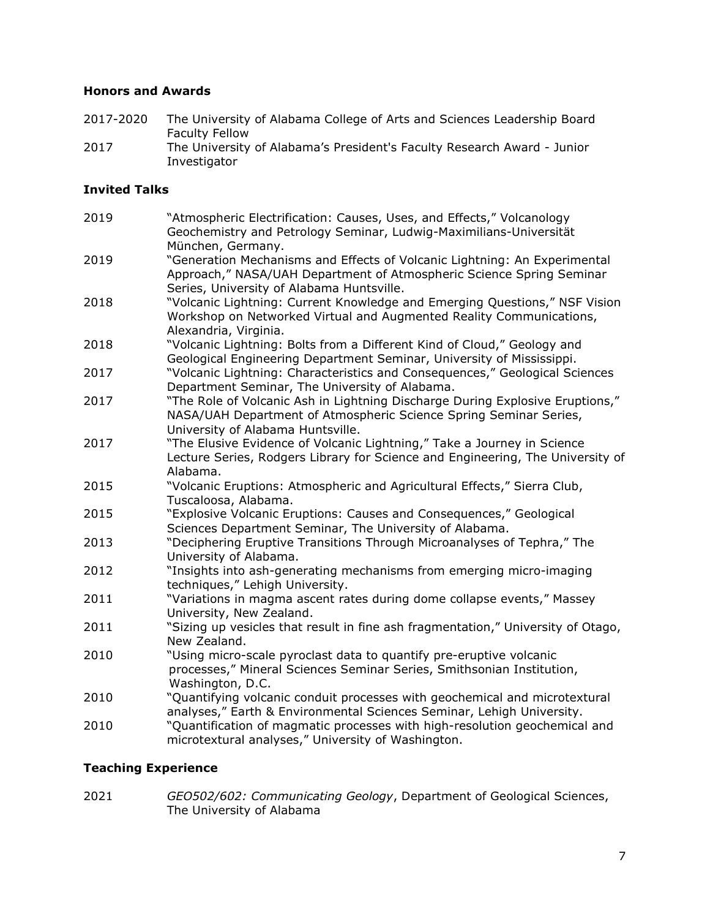## **Honors and Awards**

- 2017-2020 The University of Alabama College of Arts and Sciences Leadership Board Faculty Fellow
- 2017 The University of Alabama's President's Faculty Research Award Junior Investigator

## **Invited Talks**

| 2019 | "Atmospheric Electrification: Causes, Uses, and Effects," Volcanology<br>Geochemistry and Petrology Seminar, Ludwig-Maximilians-Universität<br>München, Germany.                               |
|------|------------------------------------------------------------------------------------------------------------------------------------------------------------------------------------------------|
| 2019 | "Generation Mechanisms and Effects of Volcanic Lightning: An Experimental<br>Approach," NASA/UAH Department of Atmospheric Science Spring Seminar<br>Series, University of Alabama Huntsville. |
| 2018 | "Volcanic Lightning: Current Knowledge and Emerging Questions," NSF Vision<br>Workshop on Networked Virtual and Augmented Reality Communications,<br>Alexandria, Virginia.                     |
| 2018 | "Volcanic Lightning: Bolts from a Different Kind of Cloud," Geology and<br>Geological Engineering Department Seminar, University of Mississippi.                                               |
| 2017 | "Volcanic Lightning: Characteristics and Consequences," Geological Sciences<br>Department Seminar, The University of Alabama.                                                                  |
| 2017 | "The Role of Volcanic Ash in Lightning Discharge During Explosive Eruptions,"<br>NASA/UAH Department of Atmospheric Science Spring Seminar Series,<br>University of Alabama Huntsville.        |
| 2017 | "The Elusive Evidence of Volcanic Lightning," Take a Journey in Science<br>Lecture Series, Rodgers Library for Science and Engineering, The University of<br>Alabama.                          |
| 2015 | "Volcanic Eruptions: Atmospheric and Agricultural Effects," Sierra Club,<br>Tuscaloosa, Alabama.                                                                                               |
| 2015 | "Explosive Volcanic Eruptions: Causes and Consequences," Geological<br>Sciences Department Seminar, The University of Alabama.                                                                 |
| 2013 | "Deciphering Eruptive Transitions Through Microanalyses of Tephra," The<br>University of Alabama.                                                                                              |
| 2012 | "Insights into ash-generating mechanisms from emerging micro-imaging<br>techniques," Lehigh University.                                                                                        |
| 2011 | "Variations in magma ascent rates during dome collapse events," Massey<br>University, New Zealand.                                                                                             |
| 2011 | "Sizing up vesicles that result in fine ash fragmentation," University of Otago,<br>New Zealand.                                                                                               |
| 2010 | "Using micro-scale pyroclast data to quantify pre-eruptive volcanic<br>processes," Mineral Sciences Seminar Series, Smithsonian Institution,<br>Washington, D.C.                               |
| 2010 | "Quantifying volcanic conduit processes with geochemical and microtextural<br>analyses," Earth & Environmental Sciences Seminar, Lehigh University.                                            |
| 2010 | "Quantification of magmatic processes with high-resolution geochemical and<br>microtextural analyses," University of Washington.                                                               |

## **Teaching Experience**

2021 *GEO502/602: Communicating Geology*, Department of Geological Sciences, The University of Alabama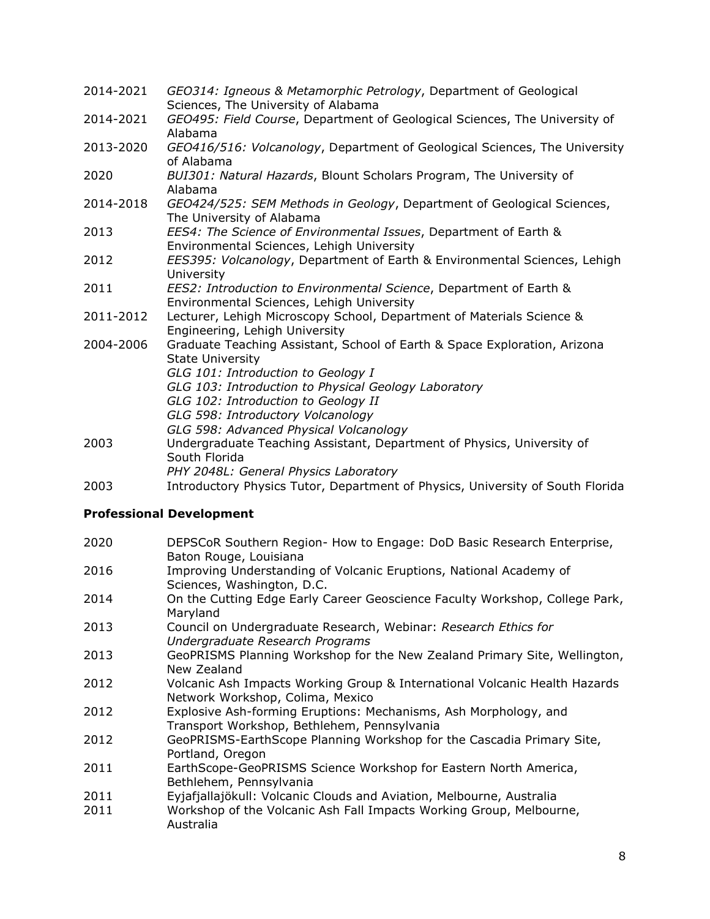- 2014-2021 *GEO314: Igneous & Metamorphic Petrology*, Department of Geological Sciences, The University of Alabama
- 2014-2021 *GEO495: Field Course*, Department of Geological Sciences, The University of Alabama
- 2013-2020 *GEO416/516: Volcanology*, Department of Geological Sciences, The University of Alabama
- 2020 *BUI301: Natural Hazards*, Blount Scholars Program, The University of Alabama
- 2014-2018 *GEO424/525: SEM Methods in Geology*, Department of Geological Sciences, The University of Alabama
- 2013 *EES4: The Science of Environmental Issues*, Department of Earth & Environmental Sciences, Lehigh University
- 2012 *EES395: Volcanology*, Department of Earth & Environmental Sciences, Lehigh University
- 2011 *EES2: Introduction to Environmental Science*, Department of Earth & Environmental Sciences, Lehigh University
- 2011-2012 Lecturer, Lehigh Microscopy School, Department of Materials Science & Engineering, Lehigh University
- 2004-2006 Graduate Teaching Assistant, School of Earth & Space Exploration, Arizona State University
	- *GLG 101: Introduction to Geology I*
	- *GLG 103: Introduction to Physical Geology Laboratory*
	- *GLG 102: Introduction to Geology II*
	- *GLG 598: Introductory Volcanology*
	- *GLG 598: Advanced Physical Volcanology*
- 2003 Undergraduate Teaching Assistant, Department of Physics, University of South Florida
	- *PHY 2048L: General Physics Laboratory*
- 2003 Introductory Physics Tutor, Department of Physics, University of South Florida

## **Professional Development**

- 2020 DEPSCoR Southern Region- How to Engage: DoD Basic Research Enterprise, Baton Rouge, Louisiana
- 2016 Improving Understanding of Volcanic Eruptions, National Academy of Sciences, Washington, D.C.
- 2014 On the Cutting Edge Early Career Geoscience Faculty Workshop, College Park, Maryland
- 2013 Council on Undergraduate Research, Webinar: *Research Ethics for Undergraduate Research Programs*
- 2013 GeoPRISMS Planning Workshop for the New Zealand Primary Site, Wellington, New Zealand
- 2012 Volcanic Ash Impacts Working Group & International Volcanic Health Hazards Network Workshop, Colima, Mexico
- 2012 Explosive Ash-forming Eruptions: Mechanisms, Ash Morphology, and Transport Workshop, Bethlehem, Pennsylvania
- 2012 GeoPRISMS-EarthScope Planning Workshop for the Cascadia Primary Site, Portland, Oregon
- 2011 EarthScope-GeoPRISMS Science Workshop for Eastern North America, Bethlehem, Pennsylvania
- 2011 Eyjafjallajökull: Volcanic Clouds and Aviation, Melbourne, Australia
- 2011 Workshop of the Volcanic Ash Fall Impacts Working Group, Melbourne, Australia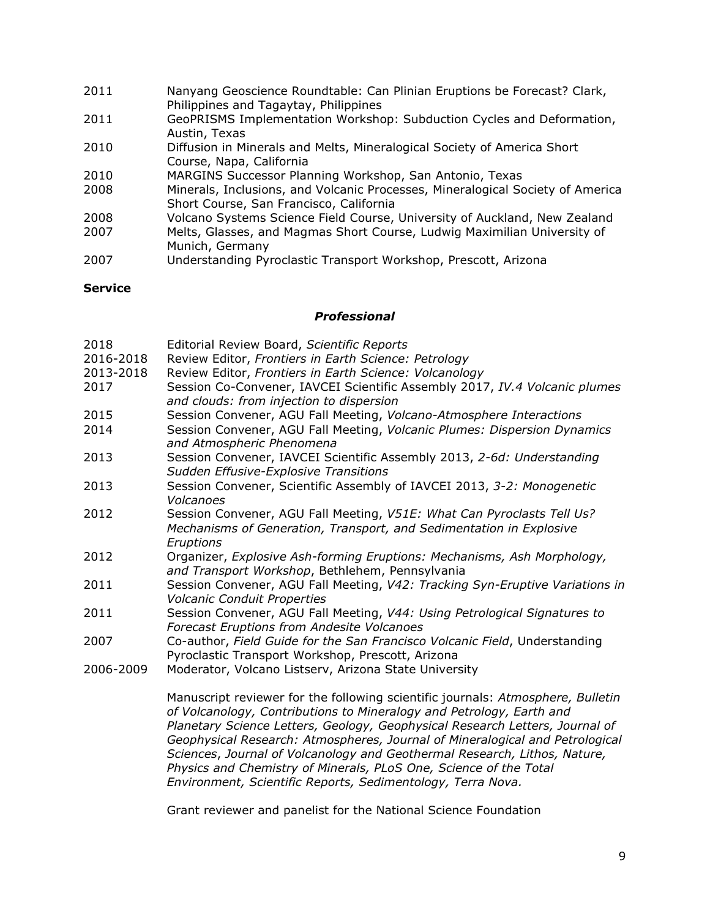- 2011 Nanyang Geoscience Roundtable: Can Plinian Eruptions be Forecast? Clark, Philippines and Tagaytay, Philippines
- 2011 GeoPRISMS Implementation Workshop: Subduction Cycles and Deformation, Austin, Texas
- 2010 Diffusion in Minerals and Melts, Mineralogical Society of America Short Course, Napa, California
- 2010 MARGINS Successor Planning Workshop, San Antonio, Texas
- 2008 Minerals, Inclusions, and Volcanic Processes, Mineralogical Society of America Short Course, San Francisco, California
- 2008 Volcano Systems Science Field Course, University of Auckland, New Zealand
- 2007 Melts, Glasses, and Magmas Short Course, Ludwig Maximilian University of Munich, Germany
- 2007 Understanding Pyroclastic Transport Workshop, Prescott, Arizona

#### **Service**

#### *Professional*

- 2018 Editorial Review Board, *Scientific Reports* 2016-2018 Review Editor, *Frontiers in Earth Science: Petrology*
- 2013-2018 Review Editor, *Frontiers in Earth Science: Volcanology*
- 2017 Session Co-Convener, IAVCEI Scientific Assembly 2017, *IV.4 Volcanic plumes and clouds: from injection to dispersion*
- 2015 Session Convener, AGU Fall Meeting, *Volcano-Atmosphere Interactions*
- 2014 Session Convener, AGU Fall Meeting, *Volcanic Plumes: Dispersion Dynamics and Atmospheric Phenomena*
- 2013 Session Convener, IAVCEI Scientific Assembly 2013, *2-6d: Understanding Sudden Effusive-Explosive Transitions*
- 2013 Session Convener, Scientific Assembly of IAVCEI 2013, *3-2: Monogenetic Volcanoes*
- 2012 Session Convener, AGU Fall Meeting, *V51E: What Can Pyroclasts Tell Us? Mechanisms of Generation, Transport, and Sedimentation in Explosive Eruptions*
- 2012 Organizer, *Explosive Ash-forming Eruptions: Mechanisms, Ash Morphology, and Transport Workshop*, Bethlehem, Pennsylvania
- 2011 Session Convener, AGU Fall Meeting, *V42: Tracking Syn-Eruptive Variations in Volcanic Conduit Properties*
- 2011 Session Convener, AGU Fall Meeting, *V44: Using Petrological Signatures to Forecast Eruptions from Andesite Volcanoes*
- 2007 Co-author, *Field Guide for the San Francisco Volcanic Field*, Understanding Pyroclastic Transport Workshop, Prescott, Arizona
- 2006-2009 Moderator, Volcano Listserv, Arizona State University

Manuscript reviewer for the following scientific journals: *Atmosphere, Bulletin of Volcanology, Contributions to Mineralogy and Petrology, Earth and Planetary Science Letters, Geology, Geophysical Research Letters, Journal of Geophysical Research: Atmospheres, Journal of Mineralogical and Petrological Sciences*, *Journal of Volcanology and Geothermal Research, Lithos, Nature, Physics and Chemistry of Minerals, PLoS One, Science of the Total Environment, Scientific Reports, Sedimentology, Terra Nova.*

Grant reviewer and panelist for the National Science Foundation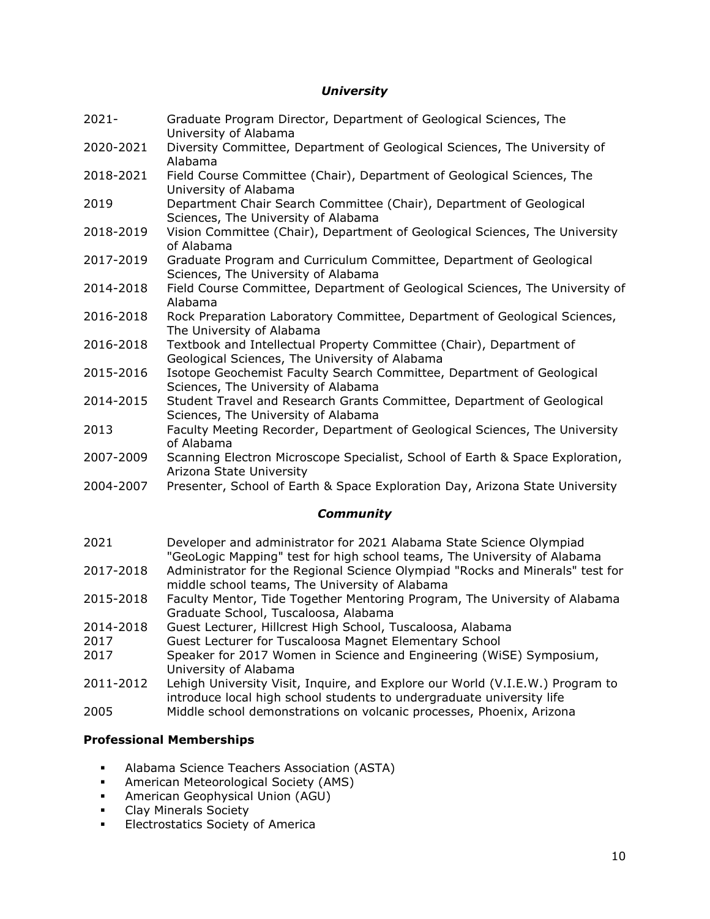#### *University*

- 2021- Graduate Program Director, Department of Geological Sciences, The University of Alabama
- 2020-2021 Diversity Committee, Department of Geological Sciences, The University of Alabama
- 2018-2021 Field Course Committee (Chair), Department of Geological Sciences, The University of Alabama
- 2019 Department Chair Search Committee (Chair), Department of Geological Sciences, The University of Alabama
- 2018-2019 Vision Committee (Chair), Department of Geological Sciences, The University of Alabama
- 2017-2019 Graduate Program and Curriculum Committee, Department of Geological Sciences, The University of Alabama
- 2014-2018 Field Course Committee, Department of Geological Sciences, The University of Alabama
- 2016-2018 Rock Preparation Laboratory Committee, Department of Geological Sciences, The University of Alabama
- 2016-2018 Textbook and Intellectual Property Committee (Chair), Department of Geological Sciences, The University of Alabama
- 2015-2016 Isotope Geochemist Faculty Search Committee, Department of Geological Sciences, The University of Alabama
- 2014-2015 Student Travel and Research Grants Committee, Department of Geological Sciences, The University of Alabama
- 2013 Faculty Meeting Recorder, Department of Geological Sciences, The University of Alabama
- 2007-2009 Scanning Electron Microscope Specialist, School of Earth & Space Exploration, Arizona State University
- 2004-2007 Presenter, School of Earth & Space Exploration Day, Arizona State University

## *Community*

- 2021 Developer and administrator for 2021 Alabama State Science Olympiad "GeoLogic Mapping" test for high school teams, The University of Alabama
- 2017-2018 Administrator for the Regional Science Olympiad "Rocks and Minerals" test for middle school teams, The University of Alabama
- 2015-2018 Faculty Mentor, Tide Together Mentoring Program, The University of Alabama Graduate School, Tuscaloosa, Alabama
- 2014-2018 Guest Lecturer, Hillcrest High School, Tuscaloosa, Alabama
- 2017 Guest Lecturer for Tuscaloosa Magnet Elementary School
- 2017 Speaker for 2017 Women in Science and Engineering (WiSE) Symposium, University of Alabama
- 2011-2012 Lehigh University Visit, Inquire, and Explore our World (V.I.E.W.) Program to introduce local high school students to undergraduate university life
- 2005 Middle school demonstrations on volcanic processes, Phoenix, Arizona

## **Professional Memberships**

- Alabama Science Teachers Association (ASTA)
- American Meteorological Society (AMS)
- American Geophysical Union (AGU)
- Clay Minerals Society
- Electrostatics Society of America